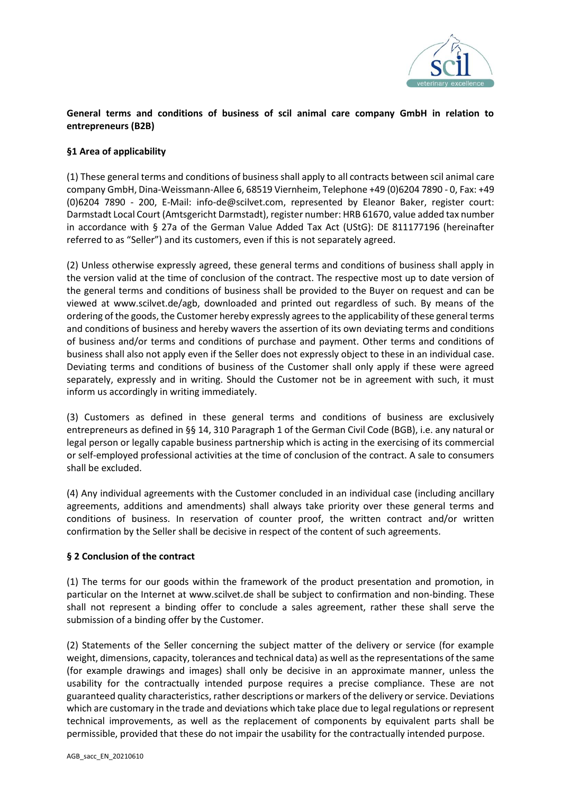

# **General terms and conditions of business of scil animal care company GmbH in relation to entrepreneurs (B2B)**

# **§1 Area of applicability**

(1) These general terms and conditions of business shall apply to all contracts between scil animal care company GmbH, Dina-Weissmann-Allee 6, 68519 Viernheim, Telephone +49 (0)6204 7890 - 0, Fax: +49 (0)6204 7890 - 200, E-Mail: info-de@scilvet.com, represented by Eleanor Baker, register court: Darmstadt Local Court (Amtsgericht Darmstadt), register number: HRB 61670, value added tax number in accordance with § 27a of the German Value Added Tax Act (UStG): DE 811177196 (hereinafter referred to as "Seller") and its customers, even if this is not separately agreed.

(2) Unless otherwise expressly agreed, these general terms and conditions of business shall apply in the version valid at the time of conclusion of the contract. The respective most up to date version of the general terms and conditions of business shall be provided to the Buyer on request and can be viewed at www.scilvet.de/agb, downloaded and printed out regardless of such. By means of the ordering of the goods, the Customer hereby expressly agrees to the applicability of these general terms and conditions of business and hereby wavers the assertion of its own deviating terms and conditions of business and/or terms and conditions of purchase and payment. Other terms and conditions of business shall also not apply even if the Seller does not expressly object to these in an individual case. Deviating terms and conditions of business of the Customer shall only apply if these were agreed separately, expressly and in writing. Should the Customer not be in agreement with such, it must inform us accordingly in writing immediately.

(3) Customers as defined in these general terms and conditions of business are exclusively entrepreneurs as defined in §§ 14, 310 Paragraph 1 of the German Civil Code (BGB), i.e. any natural or legal person or legally capable business partnership which is acting in the exercising of its commercial or self-employed professional activities at the time of conclusion of the contract. A sale to consumers shall be excluded.

(4) Any individual agreements with the Customer concluded in an individual case (including ancillary agreements, additions and amendments) shall always take priority over these general terms and conditions of business. In reservation of counter proof, the written contract and/or written confirmation by the Seller shall be decisive in respect of the content of such agreements.

## **§ 2 Conclusion of the contract**

(1) The terms for our goods within the framework of the product presentation and promotion, in particular on the Internet at www.scilvet.de shall be subject to confirmation and non-binding. These shall not represent a binding offer to conclude a sales agreement, rather these shall serve the submission of a binding offer by the Customer.

(2) Statements of the Seller concerning the subject matter of the delivery or service (for example weight, dimensions, capacity, tolerances and technical data) as well as the representations of the same (for example drawings and images) shall only be decisive in an approximate manner, unless the usability for the contractually intended purpose requires a precise compliance. These are not guaranteed quality characteristics, rather descriptions or markers of the delivery or service. Deviations which are customary in the trade and deviations which take place due to legal regulations or represent technical improvements, as well as the replacement of components by equivalent parts shall be permissible, provided that these do not impair the usability for the contractually intended purpose.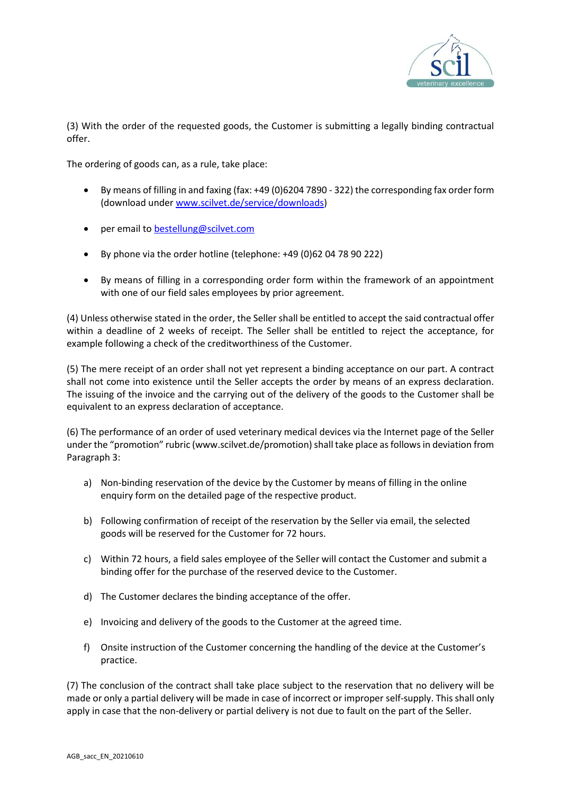

(3) With the order of the requested goods, the Customer is submitting a legally binding contractual offer.

The ordering of goods can, as a rule, take place:

- By means of filling in and faxing (fax: +49 (0)6204 7890 322) the corresponding fax order form (download under [www.scilvet.de/service/downloads\)](http://www.scilvet.de/service/downloads)
- per email to [bestellung@scilvet.com](mailto:bestellung@scilvet.com)
- By phone via the order hotline (telephone: +49 (0)62 04 78 90 222)
- By means of filling in a corresponding order form within the framework of an appointment with one of our field sales employees by prior agreement.

(4) Unless otherwise stated in the order, the Seller shall be entitled to accept the said contractual offer within a deadline of 2 weeks of receipt. The Seller shall be entitled to reject the acceptance, for example following a check of the creditworthiness of the Customer.

(5) The mere receipt of an order shall not yet represent a binding acceptance on our part. A contract shall not come into existence until the Seller accepts the order by means of an express declaration. The issuing of the invoice and the carrying out of the delivery of the goods to the Customer shall be equivalent to an express declaration of acceptance.

(6) The performance of an order of used veterinary medical devices via the Internet page of the Seller under the "promotion" rubric (www.scilvet.de/promotion) shall take place as follows in deviation from Paragraph 3:

- a) Non-binding reservation of the device by the Customer by means of filling in the online enquiry form on the detailed page of the respective product.
- b) Following confirmation of receipt of the reservation by the Seller via email, the selected goods will be reserved for the Customer for 72 hours.
- c) Within 72 hours, a field sales employee of the Seller will contact the Customer and submit a binding offer for the purchase of the reserved device to the Customer.
- d) The Customer declares the binding acceptance of the offer.
- e) Invoicing and delivery of the goods to the Customer at the agreed time.
- f) Onsite instruction of the Customer concerning the handling of the device at the Customer's practice.

(7) The conclusion of the contract shall take place subject to the reservation that no delivery will be made or only a partial delivery will be made in case of incorrect or improper self-supply. This shall only apply in case that the non-delivery or partial delivery is not due to fault on the part of the Seller.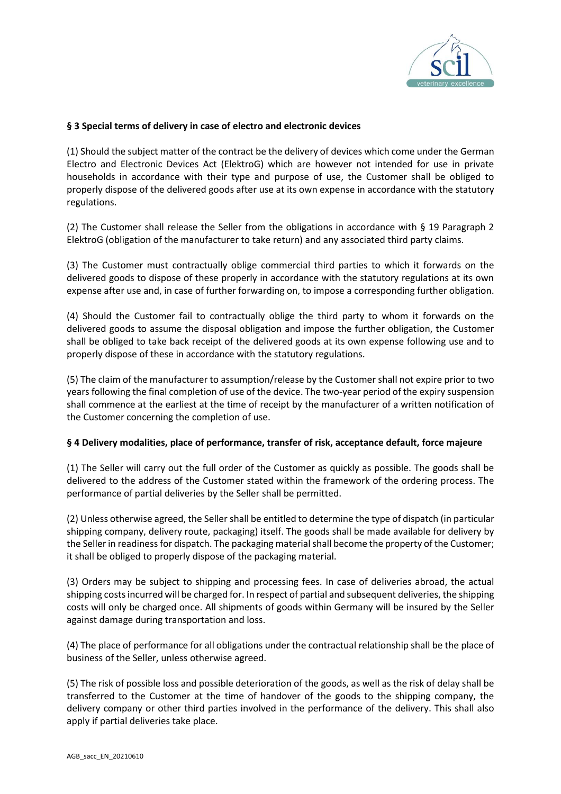

# **§ 3 Special terms of delivery in case of electro and electronic devices**

(1) Should the subject matter of the contract be the delivery of devices which come under the German Electro and Electronic Devices Act (ElektroG) which are however not intended for use in private households in accordance with their type and purpose of use, the Customer shall be obliged to properly dispose of the delivered goods after use at its own expense in accordance with the statutory regulations.

(2) The Customer shall release the Seller from the obligations in accordance with § 19 Paragraph 2 ElektroG (obligation of the manufacturer to take return) and any associated third party claims.

(3) The Customer must contractually oblige commercial third parties to which it forwards on the delivered goods to dispose of these properly in accordance with the statutory regulations at its own expense after use and, in case of further forwarding on, to impose a corresponding further obligation.

(4) Should the Customer fail to contractually oblige the third party to whom it forwards on the delivered goods to assume the disposal obligation and impose the further obligation, the Customer shall be obliged to take back receipt of the delivered goods at its own expense following use and to properly dispose of these in accordance with the statutory regulations.

(5) The claim of the manufacturer to assumption/release by the Customer shall not expire prior to two years following the final completion of use of the device. The two-year period of the expiry suspension shall commence at the earliest at the time of receipt by the manufacturer of a written notification of the Customer concerning the completion of use.

## **§ 4 Delivery modalities, place of performance, transfer of risk, acceptance default, force majeure**

(1) The Seller will carry out the full order of the Customer as quickly as possible. The goods shall be delivered to the address of the Customer stated within the framework of the ordering process. The performance of partial deliveries by the Seller shall be permitted.

(2) Unless otherwise agreed, the Seller shall be entitled to determine the type of dispatch (in particular shipping company, delivery route, packaging) itself. The goods shall be made available for delivery by the Seller in readiness for dispatch. The packaging material shall become the property of the Customer; it shall be obliged to properly dispose of the packaging material.

(3) Orders may be subject to shipping and processing fees. In case of deliveries abroad, the actual shipping costs incurred will be charged for. In respect of partial and subsequent deliveries, the shipping costs will only be charged once. All shipments of goods within Germany will be insured by the Seller against damage during transportation and loss.

(4) The place of performance for all obligations under the contractual relationship shall be the place of business of the Seller, unless otherwise agreed.

(5) The risk of possible loss and possible deterioration of the goods, as well as the risk of delay shall be transferred to the Customer at the time of handover of the goods to the shipping company, the delivery company or other third parties involved in the performance of the delivery. This shall also apply if partial deliveries take place.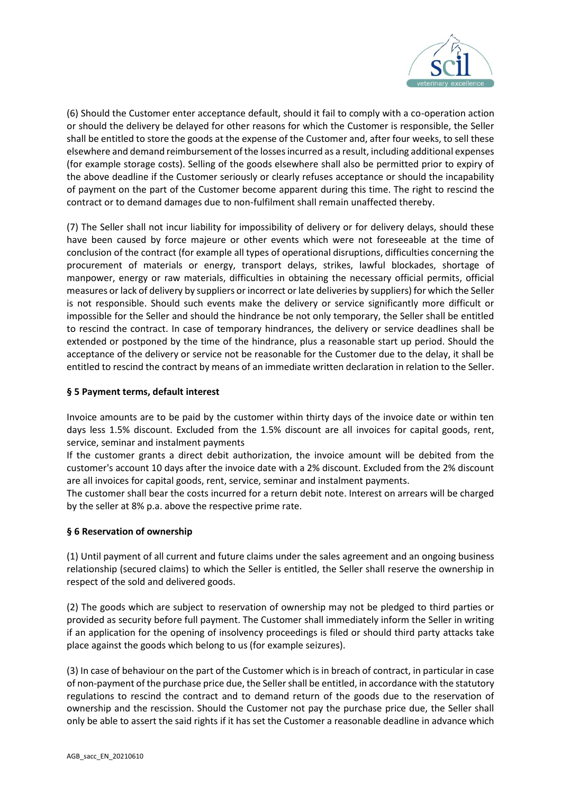

(6) Should the Customer enter acceptance default, should it fail to comply with a co-operation action or should the delivery be delayed for other reasons for which the Customer is responsible, the Seller shall be entitled to store the goods at the expense of the Customer and, after four weeks, to sell these elsewhere and demand reimbursement of the losses incurred as a result, including additional expenses (for example storage costs). Selling of the goods elsewhere shall also be permitted prior to expiry of the above deadline if the Customer seriously or clearly refuses acceptance or should the incapability of payment on the part of the Customer become apparent during this time. The right to rescind the contract or to demand damages due to non-fulfilment shall remain unaffected thereby.

(7) The Seller shall not incur liability for impossibility of delivery or for delivery delays, should these have been caused by force majeure or other events which were not foreseeable at the time of conclusion of the contract (for example all types of operational disruptions, difficulties concerning the procurement of materials or energy, transport delays, strikes, lawful blockades, shortage of manpower, energy or raw materials, difficulties in obtaining the necessary official permits, official measures or lack of delivery by suppliers or incorrect or late deliveries by suppliers) for which the Seller is not responsible. Should such events make the delivery or service significantly more difficult or impossible for the Seller and should the hindrance be not only temporary, the Seller shall be entitled to rescind the contract. In case of temporary hindrances, the delivery or service deadlines shall be extended or postponed by the time of the hindrance, plus a reasonable start up period. Should the acceptance of the delivery or service not be reasonable for the Customer due to the delay, it shall be entitled to rescind the contract by means of an immediate written declaration in relation to the Seller.

# **§ 5 Payment terms, default interest**

Invoice amounts are to be paid by the customer within thirty days of the invoice date or within ten days less 1.5% discount. Excluded from the 1.5% discount are all invoices for capital goods, rent, service, seminar and instalment payments

If the customer grants a direct debit authorization, the invoice amount will be debited from the customer's account 10 days after the invoice date with a 2% discount. Excluded from the 2% discount are all invoices for capital goods, rent, service, seminar and instalment payments.

The customer shall bear the costs incurred for a return debit note. Interest on arrears will be charged by the seller at 8% p.a. above the respective prime rate.

## **§ 6 Reservation of ownership**

(1) Until payment of all current and future claims under the sales agreement and an ongoing business relationship (secured claims) to which the Seller is entitled, the Seller shall reserve the ownership in respect of the sold and delivered goods.

(2) The goods which are subject to reservation of ownership may not be pledged to third parties or provided as security before full payment. The Customer shall immediately inform the Seller in writing if an application for the opening of insolvency proceedings is filed or should third party attacks take place against the goods which belong to us (for example seizures).

(3) In case of behaviour on the part of the Customer which is in breach of contract, in particular in case of non-payment of the purchase price due, the Seller shall be entitled, in accordance with the statutory regulations to rescind the contract and to demand return of the goods due to the reservation of ownership and the rescission. Should the Customer not pay the purchase price due, the Seller shall only be able to assert the said rights if it has set the Customer a reasonable deadline in advance which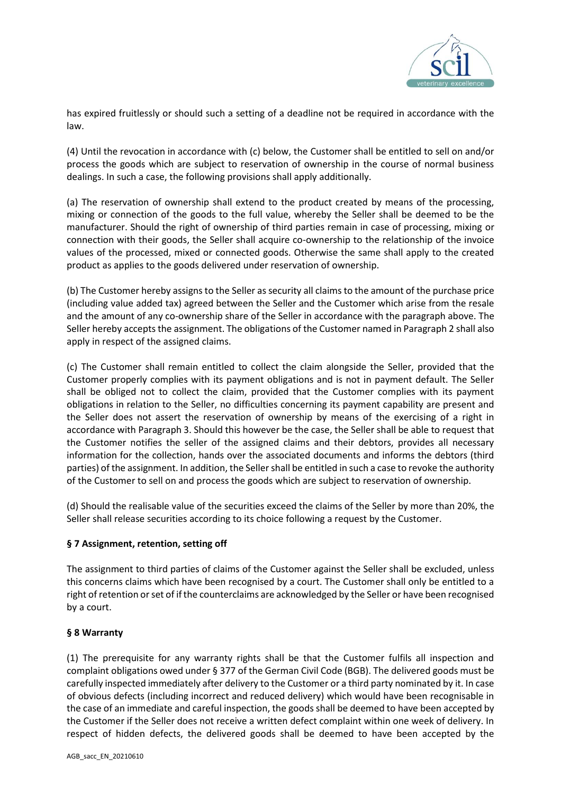

has expired fruitlessly or should such a setting of a deadline not be required in accordance with the law.

(4) Until the revocation in accordance with (c) below, the Customer shall be entitled to sell on and/or process the goods which are subject to reservation of ownership in the course of normal business dealings. In such a case, the following provisions shall apply additionally.

(a) The reservation of ownership shall extend to the product created by means of the processing, mixing or connection of the goods to the full value, whereby the Seller shall be deemed to be the manufacturer. Should the right of ownership of third parties remain in case of processing, mixing or connection with their goods, the Seller shall acquire co-ownership to the relationship of the invoice values of the processed, mixed or connected goods. Otherwise the same shall apply to the created product as applies to the goods delivered under reservation of ownership.

(b) The Customer hereby assigns to the Seller as security all claims to the amount of the purchase price (including value added tax) agreed between the Seller and the Customer which arise from the resale and the amount of any co-ownership share of the Seller in accordance with the paragraph above. The Seller hereby accepts the assignment. The obligations of the Customer named in Paragraph 2 shall also apply in respect of the assigned claims.

(c) The Customer shall remain entitled to collect the claim alongside the Seller, provided that the Customer properly complies with its payment obligations and is not in payment default. The Seller shall be obliged not to collect the claim, provided that the Customer complies with its payment obligations in relation to the Seller, no difficulties concerning its payment capability are present and the Seller does not assert the reservation of ownership by means of the exercising of a right in accordance with Paragraph 3. Should this however be the case, the Seller shall be able to request that the Customer notifies the seller of the assigned claims and their debtors, provides all necessary information for the collection, hands over the associated documents and informs the debtors (third parties) of the assignment. In addition, the Seller shall be entitled in such a case to revoke the authority of the Customer to sell on and process the goods which are subject to reservation of ownership.

(d) Should the realisable value of the securities exceed the claims of the Seller by more than 20%, the Seller shall release securities according to its choice following a request by the Customer.

# **§ 7 Assignment, retention, setting off**

The assignment to third parties of claims of the Customer against the Seller shall be excluded, unless this concerns claims which have been recognised by a court. The Customer shall only be entitled to a right of retention or set of if the counterclaims are acknowledged by the Seller or have been recognised by a court.

## **§ 8 Warranty**

(1) The prerequisite for any warranty rights shall be that the Customer fulfils all inspection and complaint obligations owed under § 377 of the German Civil Code (BGB). The delivered goods must be carefully inspected immediately after delivery to the Customer or a third party nominated by it. In case of obvious defects (including incorrect and reduced delivery) which would have been recognisable in the case of an immediate and careful inspection, the goods shall be deemed to have been accepted by the Customer if the Seller does not receive a written defect complaint within one week of delivery. In respect of hidden defects, the delivered goods shall be deemed to have been accepted by the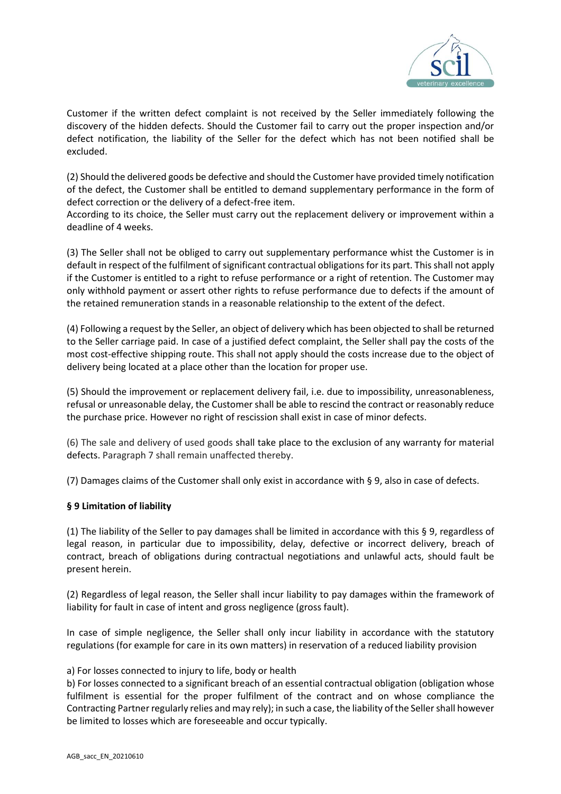

Customer if the written defect complaint is not received by the Seller immediately following the discovery of the hidden defects. Should the Customer fail to carry out the proper inspection and/or defect notification, the liability of the Seller for the defect which has not been notified shall be excluded.

(2) Should the delivered goods be defective and should the Customer have provided timely notification of the defect, the Customer shall be entitled to demand supplementary performance in the form of defect correction or the delivery of a defect-free item.

According to its choice, the Seller must carry out the replacement delivery or improvement within a deadline of 4 weeks.

(3) The Seller shall not be obliged to carry out supplementary performance whist the Customer is in default in respect of the fulfilment of significant contractual obligations for its part. This shall not apply if the Customer is entitled to a right to refuse performance or a right of retention. The Customer may only withhold payment or assert other rights to refuse performance due to defects if the amount of the retained remuneration stands in a reasonable relationship to the extent of the defect.

(4) Following a request by the Seller, an object of delivery which has been objected to shall be returned to the Seller carriage paid. In case of a justified defect complaint, the Seller shall pay the costs of the most cost-effective shipping route. This shall not apply should the costs increase due to the object of delivery being located at a place other than the location for proper use.

(5) Should the improvement or replacement delivery fail, i.e. due to impossibility, unreasonableness, refusal or unreasonable delay, the Customer shall be able to rescind the contract or reasonably reduce the purchase price. However no right of rescission shall exist in case of minor defects.

(6) The sale and delivery of used goods shall take place to the exclusion of any warranty for material defects. Paragraph 7 shall remain unaffected thereby.

(7) Damages claims of the Customer shall only exist in accordance with § 9, also in case of defects.

## **§ 9 Limitation of liability**

(1) The liability of the Seller to pay damages shall be limited in accordance with this § 9, regardless of legal reason, in particular due to impossibility, delay, defective or incorrect delivery, breach of contract, breach of obligations during contractual negotiations and unlawful acts, should fault be present herein.

(2) Regardless of legal reason, the Seller shall incur liability to pay damages within the framework of liability for fault in case of intent and gross negligence (gross fault).

In case of simple negligence, the Seller shall only incur liability in accordance with the statutory regulations (for example for care in its own matters) in reservation of a reduced liability provision

## a) For losses connected to injury to life, body or health

b) For losses connected to a significant breach of an essential contractual obligation (obligation whose fulfilment is essential for the proper fulfilment of the contract and on whose compliance the Contracting Partner regularly relies and may rely); in such a case, the liability of the Seller shall however be limited to losses which are foreseeable and occur typically.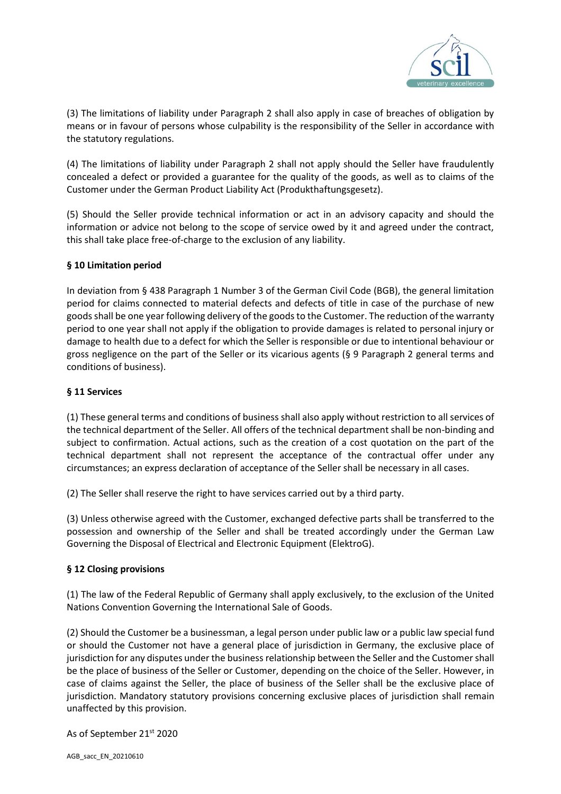

(3) The limitations of liability under Paragraph 2 shall also apply in case of breaches of obligation by means or in favour of persons whose culpability is the responsibility of the Seller in accordance with the statutory regulations.

(4) The limitations of liability under Paragraph 2 shall not apply should the Seller have fraudulently concealed a defect or provided a guarantee for the quality of the goods, as well as to claims of the Customer under the German Product Liability Act (Produkthaftungsgesetz).

(5) Should the Seller provide technical information or act in an advisory capacity and should the information or advice not belong to the scope of service owed by it and agreed under the contract, this shall take place free-of-charge to the exclusion of any liability.

# **§ 10 Limitation period**

In deviation from § 438 Paragraph 1 Number 3 of the German Civil Code (BGB), the general limitation period for claims connected to material defects and defects of title in case of the purchase of new goods shall be one year following delivery of the goods to the Customer. The reduction of the warranty period to one year shall not apply if the obligation to provide damages is related to personal injury or damage to health due to a defect for which the Seller is responsible or due to intentional behaviour or gross negligence on the part of the Seller or its vicarious agents (§ 9 Paragraph 2 general terms and conditions of business).

## **§ 11 Services**

(1) These general terms and conditions of business shall also apply without restriction to all services of the technical department of the Seller. All offers of the technical department shall be non-binding and subject to confirmation. Actual actions, such as the creation of a cost quotation on the part of the technical department shall not represent the acceptance of the contractual offer under any circumstances; an express declaration of acceptance of the Seller shall be necessary in all cases.

(2) The Seller shall reserve the right to have services carried out by a third party.

(3) Unless otherwise agreed with the Customer, exchanged defective parts shall be transferred to the possession and ownership of the Seller and shall be treated accordingly under the German Law Governing the Disposal of Electrical and Electronic Equipment (ElektroG).

## **§ 12 Closing provisions**

(1) The law of the Federal Republic of Germany shall apply exclusively, to the exclusion of the United Nations Convention Governing the International Sale of Goods.

(2) Should the Customer be a businessman, a legal person under public law or a public law special fund or should the Customer not have a general place of jurisdiction in Germany, the exclusive place of jurisdiction for any disputes under the business relationship between the Seller and the Customer shall be the place of business of the Seller or Customer, depending on the choice of the Seller. However, in case of claims against the Seller, the place of business of the Seller shall be the exclusive place of jurisdiction. Mandatory statutory provisions concerning exclusive places of jurisdiction shall remain unaffected by this provision.

As of September 21<sup>st</sup> 2020